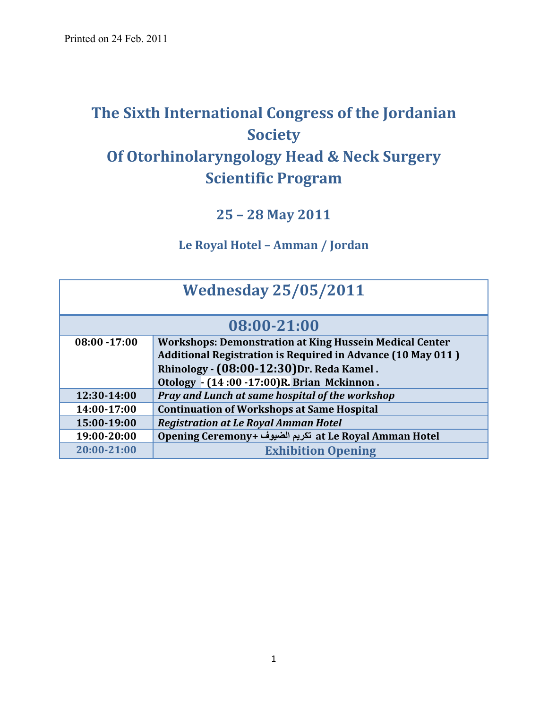# **The Sixth International Congress of the Jordanian Society Of Otorhinolaryngology Head & Neck Surgery Scientific Program**

# **25 – 28 May 2011**

#### **Le Royal Hotel – Amman / Jordan**

| <b>Wednesday 25/05/2011</b> |                                                                    |  |  |
|-----------------------------|--------------------------------------------------------------------|--|--|
|                             | 08:00-21:00                                                        |  |  |
| $08:00 - 17:00$             | <b>Workshops: Demonstration at King Hussein Medical Center</b>     |  |  |
|                             | <b>Additional Registration is Required in Advance (10 May 011)</b> |  |  |
|                             | Rhinology - (08:00-12:30) Dr. Reda Kamel.                          |  |  |
|                             | Otology - (14:00 -17:00)R. Brian Mckinnon.                         |  |  |
| 12:30-14:00                 | Pray and Lunch at same hospital of the workshop                    |  |  |
| 14:00-17:00                 | <b>Continuation of Workshops at Same Hospital</b>                  |  |  |
| 15:00-19:00                 | <b>Registration at Le Royal Amman Hotel</b>                        |  |  |
| 19:00-20:00                 | Opening Ceremony+ تكريم الضيوف at Le Royal Amman Hotel             |  |  |
| 20:00-21:00                 | <b>Exhibition Opening</b>                                          |  |  |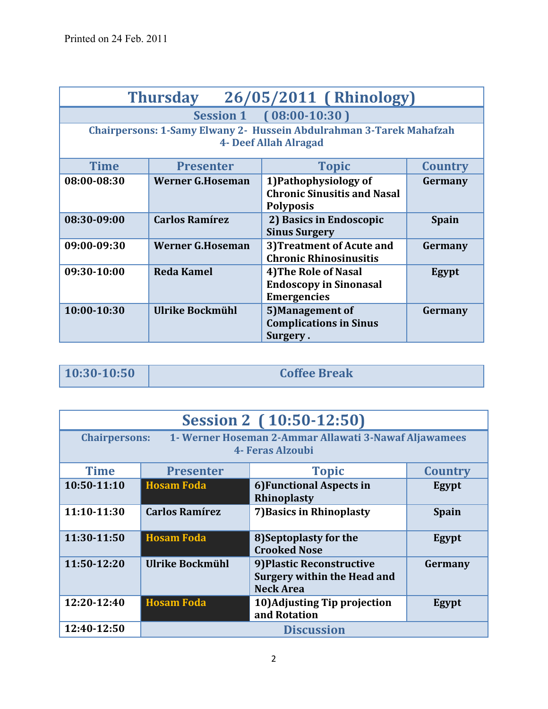| 26/05/2011 (Rhinology)<br><b>Thursday</b> |                         |                                                                                                     |                |  |
|-------------------------------------------|-------------------------|-----------------------------------------------------------------------------------------------------|----------------|--|
|                                           |                         | Session 1 (08:00-10:30)                                                                             |                |  |
|                                           |                         | Chairpersons: 1-Samy Elwany 2- Hussein Abdulrahman 3-Tarek Mahafzah<br><b>4- Deef Allah Alragad</b> |                |  |
| <b>Time</b>                               | <b>Presenter</b>        | <b>Topic</b>                                                                                        | <b>Country</b> |  |
| 08:00-08:30                               | <b>Werner G.Hoseman</b> | 1) Pathophysiology of<br><b>Chronic Sinusitis and Nasal</b><br><b>Polyposis</b>                     | Germany        |  |
| 08:30-09:00                               | <b>Carlos Ramírez</b>   | 2) Basics in Endoscopic<br><b>Sinus Surgery</b>                                                     | <b>Spain</b>   |  |
| 09:00-09:30                               | <b>Werner G.Hoseman</b> | 3) Treatment of Acute and<br><b>Chronic Rhinosinusitis</b>                                          | Germany        |  |
| 09:30-10:00                               | <b>Reda Kamel</b>       | <b>4) The Role of Nasal</b><br><b>Endoscopy in Sinonasal</b><br><b>Emergencies</b>                  | Egypt          |  |
| 10:00-10:30                               | Ulrike Bockmühl         | 5) Management of<br><b>Complications in Sinus</b><br>Surgery.                                       | Germany        |  |

**10:30-10:50 Coffee Break** 

| Session 2 (10:50-12:50)          |                                                                                                   |                                                                              |                |  |
|----------------------------------|---------------------------------------------------------------------------------------------------|------------------------------------------------------------------------------|----------------|--|
|                                  | <b>Chairpersons:</b><br>1- Werner Hoseman 2-Ammar Allawati 3-Nawaf Aljawamees<br>4- Feras Alzoubi |                                                                              |                |  |
| <b>Time</b>                      | <b>Presenter</b>                                                                                  | <b>Topic</b>                                                                 | <b>Country</b> |  |
| $10:50-11:10$                    | <b>Hosam Foda</b>                                                                                 | 6) Functional Aspects in<br><b>Rhinoplasty</b>                               | Egypt          |  |
| 11:10-11:30                      | <b>Carlos Ramírez</b>                                                                             | 7) Basics in Rhinoplasty                                                     | <b>Spain</b>   |  |
| 11:30-11:50                      | <b>Hosam Foda</b>                                                                                 | 8) Septoplasty for the<br><b>Crooked Nose</b>                                | Egypt          |  |
| 11:50-12:20                      | Ulrike Bockmühl                                                                                   | 9) Plastic Reconstructive<br>Surgery within the Head and<br><b>Neck Area</b> | Germany        |  |
| 12:20-12:40                      | <b>Hosam Foda</b>                                                                                 | 10) Adjusting Tip projection<br>and Rotation                                 | Egypt          |  |
| 12:40-12:50<br><b>Discussion</b> |                                                                                                   |                                                                              |                |  |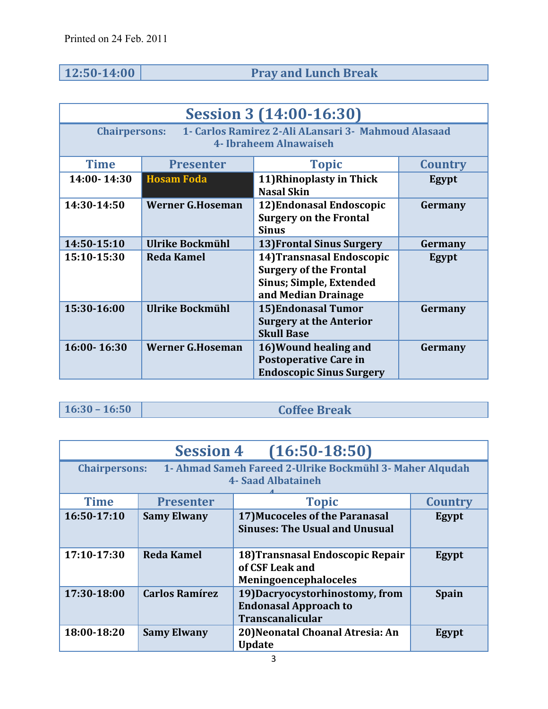# **12:50-14:00 Pray and Lunch Break**

| <b>Session 3 (14:00-16:30)</b>                                                                          |                         |                                                                                                                     |         |
|---------------------------------------------------------------------------------------------------------|-------------------------|---------------------------------------------------------------------------------------------------------------------|---------|
| 1 - Carlos Ramirez 2-Ali ALansari 3 - Mahmoud Alasaad<br><b>Chairpersons:</b><br>4- Ibraheem Alnawaiseh |                         |                                                                                                                     |         |
| <b>Time</b>                                                                                             | <b>Presenter</b>        | <b>Topic</b>                                                                                                        | Country |
| 14:00-14:30                                                                                             | <b>Hosam Foda</b>       | 11) Rhinoplasty in Thick<br><b>Nasal Skin</b>                                                                       | Egypt   |
| 14:30-14:50                                                                                             | <b>Werner G.Hoseman</b> | 12) Endonasal Endoscopic<br><b>Surgery on the Frontal</b><br><b>Sinus</b>                                           | Germany |
| 14:50-15:10                                                                                             | Ulrike Bockmühl         | 13) Frontal Sinus Surgery                                                                                           | Germany |
| 15:10-15:30                                                                                             | <b>Reda Kamel</b>       | 14) Transnasal Endoscopic<br><b>Surgery of the Frontal</b><br><b>Sinus; Simple, Extended</b><br>and Median Drainage | Egypt   |
| 15:30-16:00                                                                                             | Ulrike Bockmühl         | 15) Endonasal Tumor<br><b>Surgery at the Anterior</b><br><b>Skull Base</b>                                          | Germany |
| 16:00-16:30                                                                                             | <b>Werner G.Hoseman</b> | 16) Wound healing and<br><b>Postoperative Care in</b><br><b>Endoscopic Sinus Surgery</b>                            | Germany |

# **16:30 – 16:50 Coffee Break**

| $(16:50-18:50)$<br><b>Session 4</b> |                                                                                                               |                                                                                            |                |  |
|-------------------------------------|---------------------------------------------------------------------------------------------------------------|--------------------------------------------------------------------------------------------|----------------|--|
|                                     | 1- Ahmad Sameh Fareed 2-Ulrike Bockmühl 3- Maher Alqudah<br><b>Chairpersons:</b><br><b>4- Saad Albataineh</b> |                                                                                            |                |  |
| <b>Time</b>                         | <b>Presenter</b>                                                                                              | <b>Topic</b>                                                                               | <b>Country</b> |  |
| 16:50-17:10                         | <b>Samy Elwany</b>                                                                                            | 17) Mucoceles of the Paranasal<br><b>Sinuses: The Usual and Unusual</b>                    | Egypt          |  |
| 17:10-17:30                         | <b>Reda Kamel</b>                                                                                             | 18) Transnasal Endoscopic Repair<br>of CSF Leak and<br>Meningoencephaloceles               | Egypt          |  |
| 17:30-18:00                         | <b>Carlos Ramírez</b>                                                                                         | 19) Dacryocystorhinostomy, from<br><b>Endonasal Approach to</b><br><b>Transcanalicular</b> | <b>Spain</b>   |  |
| 18:00-18:20                         | <b>Samy Elwany</b>                                                                                            | 20) Neonatal Choanal Atresia: An<br><b>Update</b>                                          | Egypt          |  |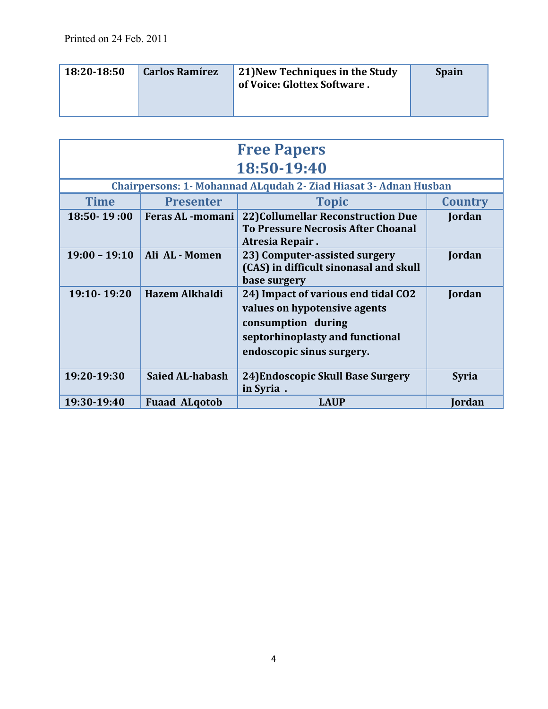| 18:20-18:50 | <b>Carlos Ramírez</b> | 21) New Techniques in the Study<br>of Voice: Glottex Software. | <b>Spain</b> |
|-------------|-----------------------|----------------------------------------------------------------|--------------|
|-------------|-----------------------|----------------------------------------------------------------|--------------|

| <b>Free Papers</b> |                         |                                                                                                                                                           |                |  |
|--------------------|-------------------------|-----------------------------------------------------------------------------------------------------------------------------------------------------------|----------------|--|
|                    |                         | 18:50-19:40                                                                                                                                               |                |  |
|                    |                         | <b>Chairpersons: 1- Mohannad ALqudah 2- Ziad Hiasat 3- Adnan Husban</b>                                                                                   |                |  |
| <b>Time</b>        | <b>Presenter</b>        | <b>Topic</b>                                                                                                                                              | <b>Country</b> |  |
| $18:50 - 19:00$    | <b>Feras AL -momani</b> | 22) Collumellar Reconstruction Due<br><b>To Pressure Necrosis After Choanal</b><br>Atresia Repair.                                                        | Jordan         |  |
| $19:00 - 19:10$    | Ali AL - Momen          | 23) Computer-assisted surgery<br>(CAS) in difficult sinonasal and skull<br>base surgery                                                                   | Jordan         |  |
| 19:10-19:20        | <b>Hazem Alkhaldi</b>   | 24) Impact of various end tidal CO2<br>values on hypotensive agents<br>consumption during<br>septorhinoplasty and functional<br>endoscopic sinus surgery. | Jordan         |  |
| 19:20-19:30        | <b>Saied AL-habash</b>  | 24) Endoscopic Skull Base Surgery<br>in Syria.                                                                                                            | <b>Syria</b>   |  |
| 19:30-19:40        | <b>Fuaad ALgotob</b>    | <b>LAUP</b>                                                                                                                                               | Jordan         |  |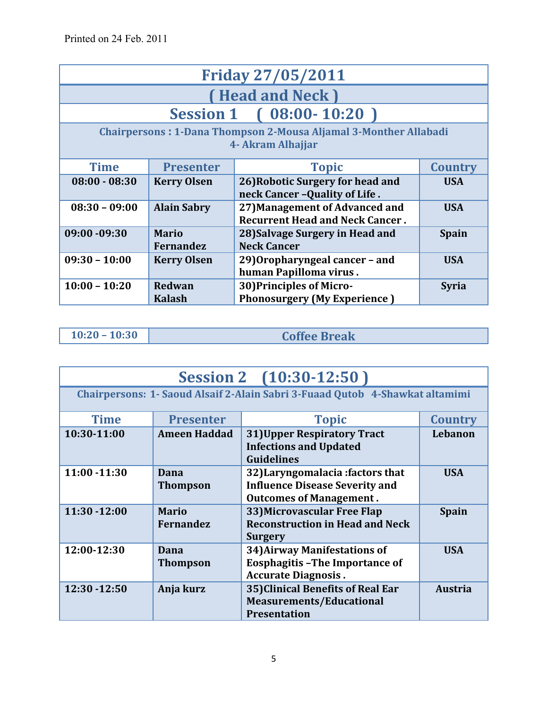| <b>Friday 27/05/2011</b>                                                                     |                                                                                                              |                                                                        |                |  |  |
|----------------------------------------------------------------------------------------------|--------------------------------------------------------------------------------------------------------------|------------------------------------------------------------------------|----------------|--|--|
|                                                                                              |                                                                                                              | (Head and Neck)                                                        |                |  |  |
|                                                                                              |                                                                                                              | Session 1 (08:00-10:20)                                                |                |  |  |
| <b>Chairpersons: 1-Dana Thompson 2-Mousa Aljamal 3-Monther Allabadi</b><br>4- Akram Alhajjar |                                                                                                              |                                                                        |                |  |  |
| <b>Time</b>                                                                                  | <b>Presenter</b>                                                                                             | <b>Topic</b>                                                           | <b>Country</b> |  |  |
| $08:00 - 08:30$                                                                              | 26) Robotic Surgery for head and<br><b>Kerry Olsen</b><br><b>USA</b><br>neck Cancer - Quality of Life.       |                                                                        |                |  |  |
| $08:30 - 09:00$                                                                              | 27) Management of Advanced and<br><b>USA</b><br><b>Alain Sabry</b><br><b>Recurrent Head and Neck Cancer.</b> |                                                                        |                |  |  |
| 09:00 -09:30                                                                                 | <b>Mario</b><br>28) Salvage Surgery in Head and<br><b>Spain</b><br><b>Neck Cancer</b><br><b>Fernandez</b>    |                                                                        |                |  |  |
| $09:30 - 10:00$                                                                              | 29) Oropharyngeal cancer - and<br><b>USA</b><br><b>Kerry Olsen</b><br>human Papilloma virus.                 |                                                                        |                |  |  |
| $10:00 - 10:20$                                                                              | Redwan<br><b>Kalash</b>                                                                                      | <b>30) Principles of Micro-</b><br><b>Phonosurgery (My Experience)</b> | <b>Syria</b>   |  |  |

| .0:20 |  | - 10:30 |
|-------|--|---------|
|       |  |         |

**10:20 – 10:30 Coffee Break**

| Session 2 (10:30-12:50) |                                  |                                                                                                             |                |
|-------------------------|----------------------------------|-------------------------------------------------------------------------------------------------------------|----------------|
|                         |                                  | Chairpersons: 1- Saoud Alsaif 2-Alain Sabri 3-Fuaad Qutob 4-Shawkat altamimi                                |                |
| <b>Time</b>             | <b>Presenter</b>                 | <b>Topic</b>                                                                                                | <b>Country</b> |
| 10:30-11:00             | <b>Ameen Haddad</b>              | <b>31) Upper Respiratory Tract</b><br><b>Infections and Updated</b><br><b>Guidelines</b>                    | Lebanon        |
| $11:00 - 11:30$         | Dana<br><b>Thompson</b>          | 32) Laryngomalacia: factors that<br><b>Influence Disease Severity and</b><br><b>Outcomes of Management.</b> | <b>USA</b>     |
| $11:30 - 12:00$         | <b>Mario</b><br><b>Fernandez</b> | 33) Microvascular Free Flap<br><b>Reconstruction in Head and Neck</b><br><b>Surgery</b>                     | <b>Spain</b>   |
| 12:00-12:30             | Dana<br><b>Thompson</b>          | <b>34) Airway Manifestations of</b><br><b>Eosphagitis-The Importance of</b><br><b>Accurate Diagnosis.</b>   | <b>USA</b>     |
| 12:30 - 12:50           | Anja kurz                        | 35) Clinical Benefits of Real Ear<br><b>Measurements/Educational</b><br><b>Presentation</b>                 | <b>Austria</b> |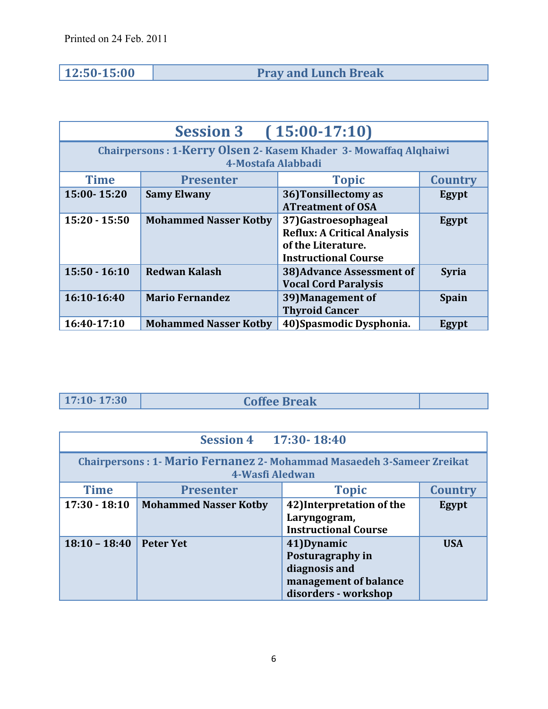**12:50-15:00 Pray and Lunch Break**

| $(15:00-17:10)$<br><b>Session 3</b> |                                                                                               |                                                                                                                |                |  |
|-------------------------------------|-----------------------------------------------------------------------------------------------|----------------------------------------------------------------------------------------------------------------|----------------|--|
|                                     | <b>Chairpersons: 1-Kerry Olsen 2- Kasem Khader 3- Mowaffaq Alqhaiwi</b><br>4-Mostafa Alabbadi |                                                                                                                |                |  |
| <b>Time</b>                         | <b>Presenter</b>                                                                              | <b>Topic</b>                                                                                                   | <b>Country</b> |  |
| 15:00-15:20                         | <b>Samy Elwany</b>                                                                            | 36) Tonsillectomy as<br><b>ATreatment of OSA</b>                                                               | Egypt          |  |
| $15:20 - 15:50$                     | <b>Mohammed Nasser Kotby</b>                                                                  | 37)Gastroesophageal<br><b>Reflux: A Critical Analysis</b><br>of the Literature.<br><b>Instructional Course</b> | Egypt          |  |
| $15:50 - 16:10$                     | <b>Redwan Kalash</b>                                                                          | 38) Advance Assessment of<br><b>Vocal Cord Paralysis</b>                                                       | <b>Syria</b>   |  |
| 16:10-16:40                         | <b>Mario Fernandez</b>                                                                        | 39) Management of<br><b>Thyroid Cancer</b>                                                                     | <b>Spain</b>   |  |
| 16:40-17:10                         | <b>Mohammed Nasser Kotby</b>                                                                  | 40) Spasmodic Dysphonia.                                                                                       | Egypt          |  |

**17:10- 17:30 Coffee Break**

| Session 4 17:30-18:40 |                                                                                                 |                                                                                                   |                |  |  |
|-----------------------|-------------------------------------------------------------------------------------------------|---------------------------------------------------------------------------------------------------|----------------|--|--|
|                       | <b>Chairpersons: 1- Mario Fernanez 2- Mohammad Masaedeh 3-Sameer Zreikat</b><br>4-Wasfi Aledwan |                                                                                                   |                |  |  |
| <b>Time</b>           | <b>Presenter</b>                                                                                | <b>Topic</b>                                                                                      | <b>Country</b> |  |  |
| $17:30 - 18:10$       | <b>Mohammed Nasser Kotby</b>                                                                    | 42) Interpretation of the<br>Laryngogram,<br><b>Instructional Course</b>                          | Egypt          |  |  |
| $18:10 - 18:40$       | <b>Peter Yet</b>                                                                                | 41) Dynamic<br>Posturagraphy in<br>diagnosis and<br>management of balance<br>disorders - workshop | <b>USA</b>     |  |  |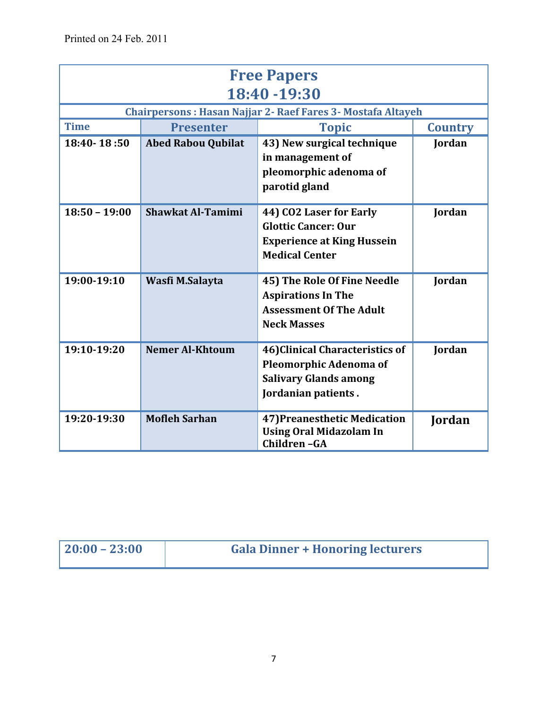| <b>Free Papers</b><br>18:40 - 19:30 |                                                    |                                                                                                                     |        |  |
|-------------------------------------|----------------------------------------------------|---------------------------------------------------------------------------------------------------------------------|--------|--|
|                                     |                                                    | Chairpersons: Hasan Najjar 2- Raef Fares 3- Mostafa Altayeh                                                         |        |  |
| <b>Time</b>                         | <b>Presenter</b><br><b>Topic</b><br><b>Country</b> |                                                                                                                     |        |  |
| 18:40-18:50                         | <b>Abed Rabou Qubilat</b>                          | 43) New surgical technique<br>in management of<br>pleomorphic adenoma of<br>parotid gland                           | Jordan |  |
| $18:50 - 19:00$                     | Shawkat Al-Tamimi                                  | 44) CO2 Laser for Early<br><b>Glottic Cancer: Our</b><br><b>Experience at King Hussein</b><br><b>Medical Center</b> | Jordan |  |
| 19:00-19:10                         | Wasfi M.Salayta                                    | 45) The Role Of Fine Needle<br><b>Aspirations In The</b><br><b>Assessment Of The Adult</b><br><b>Neck Masses</b>    | Jordan |  |
| 19:10-19:20                         | <b>Nemer Al-Khtoum</b>                             | 46) Clinical Characteristics of<br>Pleomorphic Adenoma of<br><b>Salivary Glands among</b><br>Jordanian patients.    | Jordan |  |
| 19:20-19:30                         | <b>Mofleh Sarhan</b>                               | 47) Preanesthetic Medication<br><b>Using Oral Midazolam In</b><br>Children-GA                                       | Jordan |  |

| $ 20:00 - 23:00 $ | <b>Gala Dinner + Honoring lecturers</b> |
|-------------------|-----------------------------------------|
|                   |                                         |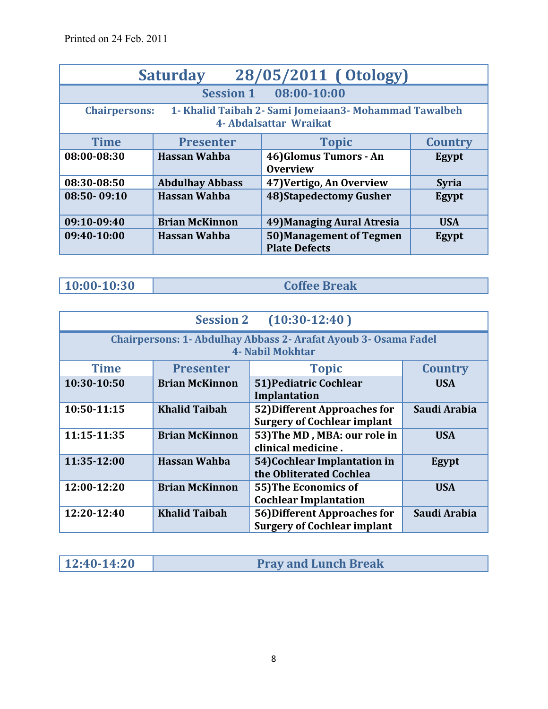| 28/05/2011 (Otology)<br><b>Saturday</b>                                                                  |                                                    |                                                        |              |  |
|----------------------------------------------------------------------------------------------------------|----------------------------------------------------|--------------------------------------------------------|--------------|--|
|                                                                                                          |                                                    | Session 1 08:00-10:00                                  |              |  |
| 1- Khalid Taibah 2- Sami Jomeiaan 3- Mohammad Tawalbeh<br><b>Chairpersons:</b><br>4- Abdalsattar Wraikat |                                                    |                                                        |              |  |
| <b>Time</b>                                                                                              | <b>Topic</b><br><b>Country</b><br><b>Presenter</b> |                                                        |              |  |
| 08:00-08:30                                                                                              | <b>Hassan Wahba</b>                                | 46) Glomus Tumors - An<br><b>Overview</b>              | Egypt        |  |
| 08:30-08:50                                                                                              | <b>Abdulhay Abbass</b>                             | 47) Vertigo, An Overview                               | <b>Syria</b> |  |
| 08:50-09:10                                                                                              | <b>Hassan Wahba</b>                                | <b>48)Stapedectomy Gusher</b>                          | Egypt        |  |
| 09:10-09:40                                                                                              | <b>Brian McKinnon</b>                              | 49) Managing Aural Atresia                             | <b>USA</b>   |  |
| 09:40-10:00                                                                                              | <b>Hassan Wahba</b>                                | <b>50)Management of Tegmen</b><br><b>Plate Defects</b> | Egypt        |  |

**10:00-10:30 Coffee Break** 

| $(10:30-12:40)$<br><b>Session 2</b> |                                                                                            |                                                                    |                |  |
|-------------------------------------|--------------------------------------------------------------------------------------------|--------------------------------------------------------------------|----------------|--|
|                                     | <b>Chairpersons: 1- Abdulhay Abbass 2- Arafat Ayoub 3- Osama Fadel</b><br>4- Nabil Mokhtar |                                                                    |                |  |
| <b>Time</b>                         | <b>Presenter</b>                                                                           | <b>Topic</b>                                                       | <b>Country</b> |  |
| 10:30-10:50                         | <b>Brian McKinnon</b>                                                                      | <b>51) Pediatric Cochlear</b><br>Implantation                      | <b>USA</b>     |  |
| 10:50-11:15                         | <b>Khalid Taibah</b>                                                                       | 52) Different Approaches for<br><b>Surgery of Cochlear implant</b> | Saudi Arabia   |  |
| 11:15-11:35                         | <b>Brian McKinnon</b>                                                                      | 53) The MD, MBA: our role in<br>clinical medicine.                 | <b>USA</b>     |  |
| 11:35-12:00                         | <b>Hassan Wahba</b>                                                                        | 54) Cochlear Implantation in<br>the Obliterated Cochlea            | Egypt          |  |
| 12:00-12:20                         | <b>Brian McKinnon</b>                                                                      | 55) The Economics of<br><b>Cochlear Implantation</b>               | <b>USA</b>     |  |
| 12:20-12:40                         | <b>Khalid Taibah</b>                                                                       | 56) Different Approaches for<br><b>Surgery of Cochlear implant</b> | Saudi Arabia   |  |

| 12:40-14:20 | <b>Pray and Lunch Break</b> |
|-------------|-----------------------------|
|             |                             |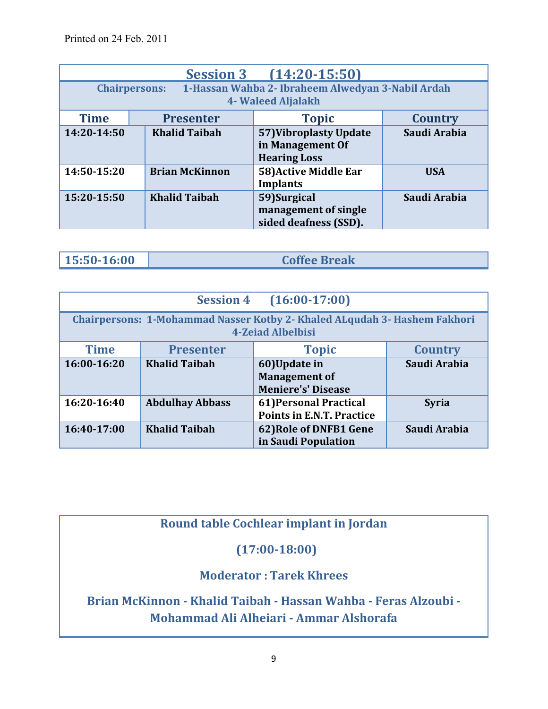| $(14:20 - 15:50)$<br><b>Session 3</b>                                                           |                       |                                                                   |                |  |
|-------------------------------------------------------------------------------------------------|-----------------------|-------------------------------------------------------------------|----------------|--|
| 1-Hassan Wahba 2- Ibraheem Alwedyan 3-Nabil Ardah<br><b>Chairpersons:</b><br>4- Waleed Aljalakh |                       |                                                                   |                |  |
| <b>Time</b>                                                                                     | <b>Presenter</b>      | <b>Topic</b>                                                      | <b>Country</b> |  |
| 14:20-14:50                                                                                     | <b>Khalid Taibah</b>  | 57) Vibroplasty Update<br>in Management Of<br><b>Hearing Loss</b> | Saudi Arabia   |  |
| 14:50-15:20                                                                                     | <b>Brian McKinnon</b> | 58) Active Middle Ear<br><b>Implants</b>                          | <b>USA</b>     |  |
| 15:20-15:50                                                                                     | <b>Khalid Taibah</b>  | 59) Surgical<br>management of single<br>sided deafness (SSD).     | Saudi Arabia   |  |

| 15:50-16:00 | <b>Coffee Break</b> |
|-------------|---------------------|
|             |                     |

| $(16:00-17:00)$<br><b>Session 4</b>                                                                          |                                                    |                                      |              |  |  |
|--------------------------------------------------------------------------------------------------------------|----------------------------------------------------|--------------------------------------|--------------|--|--|
| <b>Chairpersons: 1-Mohammad Nasser Kotby 2- Khaled ALqudah 3- Hashem Fakhori</b><br><b>4-Zeiad Albelbisi</b> |                                                    |                                      |              |  |  |
| <b>Time</b>                                                                                                  | <b>Topic</b><br><b>Presenter</b><br><b>Country</b> |                                      |              |  |  |
| $16:00-16:20$                                                                                                | <b>Khalid Taibah</b>                               | 60)Update in<br><b>Management of</b> | Saudi Arabia |  |  |
|                                                                                                              |                                                    | <b>Meniere's' Disease</b>            |              |  |  |
| 16:20-16:40                                                                                                  | <b>Abdulhay Abbass</b>                             | 61) Personal Practical               | <b>Syria</b> |  |  |
|                                                                                                              |                                                    | <b>Points in E.N.T. Practice</b>     |              |  |  |
| 16:40-17:00                                                                                                  | <b>Khalid Taibah</b>                               | 62) Role of DNFB1 Gene               | Saudi Arabia |  |  |
|                                                                                                              |                                                    | in Saudi Population                  |              |  |  |

#### **Round table Cochlear implant in Jordan**

### **(17:00-18:00)**

#### **Moderator : Tarek Khrees**

**Brian McKinnon - Khalid Taibah - Hassan Wahba - Feras Alzoubi - Mohammad Ali Alheiari - Ammar Alshorafa**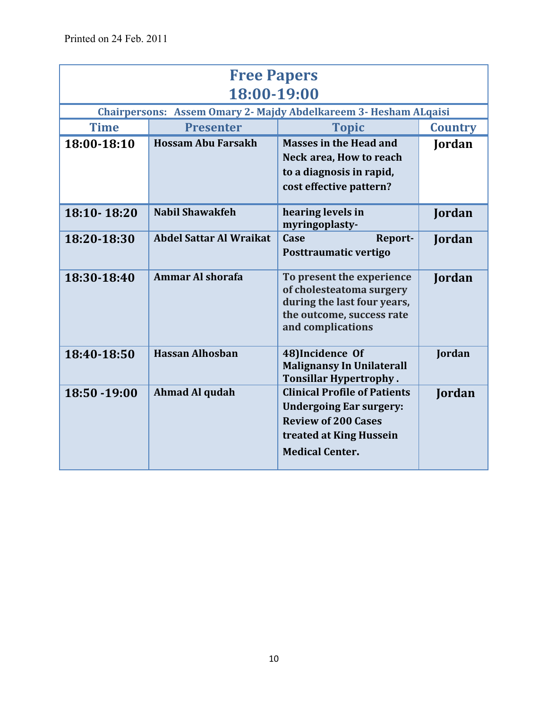| <b>Free Papers</b><br>18:00-19:00 |                                |                                                                                                                                                          |                |
|-----------------------------------|--------------------------------|----------------------------------------------------------------------------------------------------------------------------------------------------------|----------------|
|                                   |                                | Chairpersons: Assem Omary 2- Majdy Abdelkareem 3- Hesham ALqaisi                                                                                         |                |
| <b>Time</b>                       | <b>Presenter</b>               | <b>Topic</b>                                                                                                                                             | <b>Country</b> |
| 18:00-18:10                       | <b>Hossam Abu Farsakh</b>      | <b>Masses in the Head and</b>                                                                                                                            | Jordan         |
|                                   |                                | Neck area, How to reach                                                                                                                                  |                |
|                                   |                                | to a diagnosis in rapid,                                                                                                                                 |                |
|                                   |                                | cost effective pattern?                                                                                                                                  |                |
| 18:10-18:20                       | <b>Nabil Shawakfeh</b>         | hearing levels in<br>myringoplasty-                                                                                                                      | Jordan         |
| 18:20-18:30                       | <b>Abdel Sattar Al Wraikat</b> | Case<br>Report-<br>Posttraumatic vertigo                                                                                                                 | Jordan         |
| 18:30-18:40                       | <b>Ammar Al shorafa</b>        | To present the experience<br>of cholesteatoma surgery<br>during the last four years,<br>the outcome, success rate<br>and complications                   | Jordan         |
| 18:40-18:50                       | <b>Hassan Alhosban</b>         | 48)Incidence Of<br><b>Malignansy In Unilaterall</b><br><b>Tonsillar Hypertrophy.</b>                                                                     | Jordan         |
| 18:50 - 19:00                     | Ahmad Al qudah                 | <b>Clinical Profile of Patients</b><br><b>Undergoing Ear surgery:</b><br><b>Review of 200 Cases</b><br>treated at King Hussein<br><b>Medical Center.</b> | Jordan         |